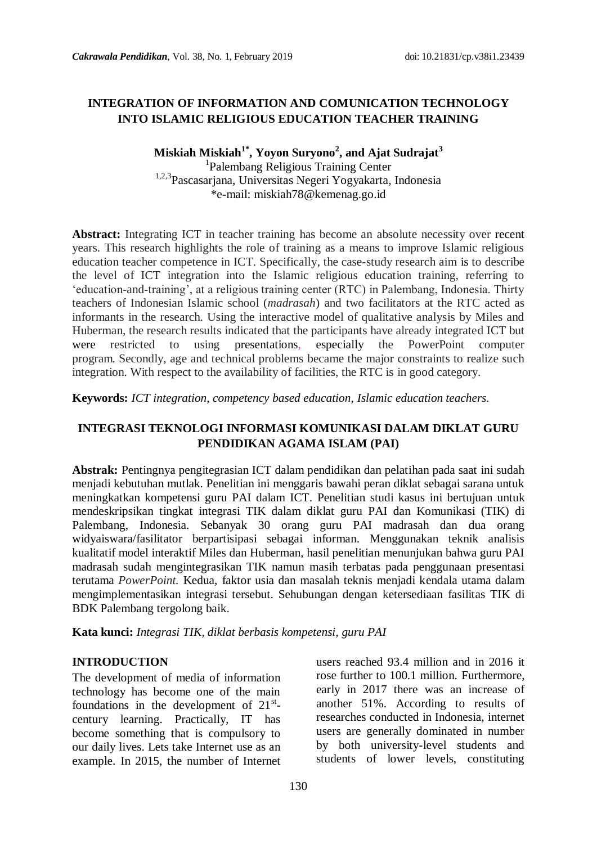### **INTEGRATION OF INFORMATION AND COMUNICATION TECHNOLOGY INTO ISLAMIC RELIGIOUS EDUCATION TEACHER TRAINING**

### **Miskiah Miskiah1\* , Yoyon Suryono<sup>2</sup> , and Ajat Sudrajat<sup>3</sup>** 1 Palembang Religious Training Center

1,2,3Pascasarjana, Universitas Negeri Yogyakarta, Indonesia \*e-mail: miskiah78@kemenag.go.id

**Abstract:** Integrating ICT in teacher training has become an absolute necessity over recent years. This research highlights the role of training as a means to improve Islamic religious education teacher competence in ICT. Specifically, the case-study research aim is to describe the level of ICT integration into the Islamic religious education training, referring to "education-and-training", at a religious training center (RTC) in Palembang, Indonesia. Thirty teachers of Indonesian Islamic school (*madrasah*) and two facilitators at the RTC acted as informants in the research. Using the interactive model of qualitative analysis by Miles and Huberman, the research results indicated that the participants have already integrated ICT but were restricted to using presentations, especially the PowerPoint computer program*.* Secondly, age and technical problems became the major constraints to realize such integration. With respect to the availability of facilities, the RTC is in good category.

**Keywords:** *ICT integration, competency based education, Islamic education teachers.*

### **INTEGRASI TEKNOLOGI INFORMASI KOMUNIKASI DALAM DIKLAT GURU PENDIDIKAN AGAMA ISLAM (PAI)**

**Abstrak:** Pentingnya pengitegrasian ICT dalam pendidikan dan pelatihan pada saat ini sudah menjadi kebutuhan mutlak. Penelitian ini menggaris bawahi peran diklat sebagai sarana untuk meningkatkan kompetensi guru PAI dalam ICT. Penelitian studi kasus ini bertujuan untuk mendeskripsikan tingkat integrasi TIK dalam diklat guru PAI dan Komunikasi (TIK) di Palembang, Indonesia. Sebanyak 30 orang guru PAI madrasah dan dua orang widyaiswara/fasilitator berpartisipasi sebagai informan. Menggunakan teknik analisis kualitatif model interaktif Miles dan Huberman, hasil penelitian menunjukan bahwa guru PAI madrasah sudah mengintegrasikan TIK namun masih terbatas pada penggunaan presentasi terutama *PowerPoint.* Kedua, faktor usia dan masalah teknis menjadi kendala utama dalam mengimplementasikan integrasi tersebut. Sehubungan dengan ketersediaan fasilitas TIK di BDK Palembang tergolong baik.

**Kata kunci:** *Integrasi TIK, diklat berbasis kompetensi, guru PAI*

#### **INTRODUCTION**

The development of media of information technology has become one of the main foundations in the development of  $21^{st}$ century learning. Practically, IT has become something that is compulsory to our daily lives. Lets take Internet use as an example. In 2015, the number of Internet

users reached 93.4 million and in 2016 it rose further to 100.1 million. Furthermore, early in 2017 there was an increase of another 51%. According to results of researches conducted in Indonesia, internet users are generally dominated in number by both university-level students and students of lower levels, constituting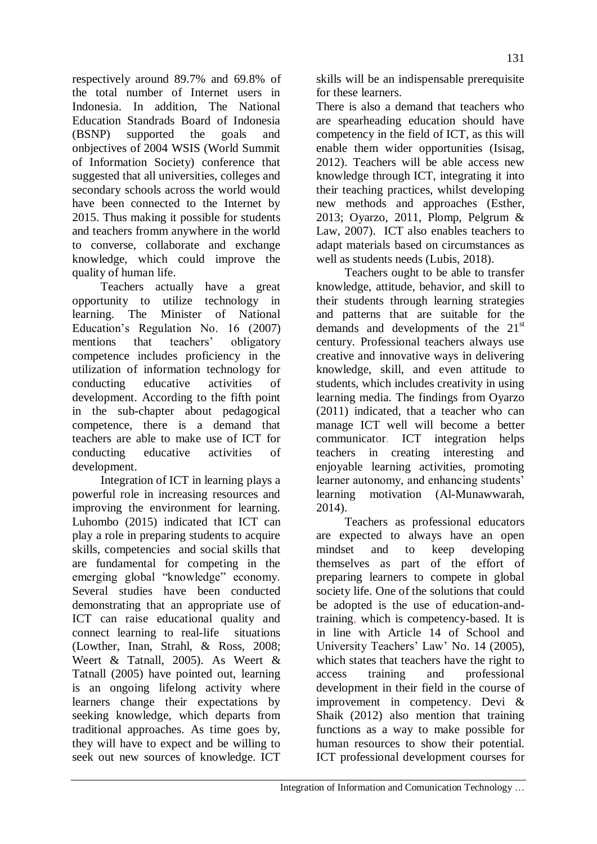respectively around 89.7% and 69.8% of the total number of Internet users in Indonesia. In addition, The National Education Standrads Board of Indonesia (BSNP) supported the goals and onbjectives of 2004 WSIS (World Summit of Information Society) conference that suggested that all universities, colleges and secondary schools across the world would have been connected to the Internet by 2015. Thus making it possible for students and teachers fromm anywhere in the world to converse, collaborate and exchange knowledge, which could improve the quality of human life.

Teachers actually have a great opportunity to utilize technology in learning. The Minister of National Education"s Regulation No. 16 (2007) mentions that teachers' obligatory competence includes proficiency in the utilization of information technology for conducting educative activities of development. According to the fifth point in the sub-chapter about pedagogical competence, there is a demand that teachers are able to make use of ICT for conducting educative activities of development.

Integration of ICT in learning plays a powerful role in increasing resources and improving the environment for learning. Luhombo (2015) indicated that ICT can play a role in preparing students to acquire skills, competencies and social skills that are fundamental for competing in the emerging global "knowledge" economy. Several studies have been conducted demonstrating that an appropriate use of ICT can raise educational quality and connect learning to real-life situations (Lowther, Inan, Strahl, & Ross, 2008; Weert & Tatnall, 2005). As Weert & Tatnall (2005) have pointed out, learning is an ongoing lifelong activity where learners change their expectations by seeking knowledge, which departs from traditional approaches. As time goes by, they will have to expect and be willing to seek out new sources of knowledge. ICT

skills will be an indispensable prerequisite for these learners.

There is also a demand that teachers who are spearheading education should have competency in the field of ICT, as this will enable them wider opportunities (Isisag, 2012). Teachers will be able access new knowledge through ICT, integrating it into their teaching practices, whilst developing new methods and approaches (Esther, 2013; Oyarzo, 2011, Plomp, Pelgrum & Law, 2007). ICT also enables teachers to adapt materials based on circumstances as well as students needs (Lubis, 2018).

Teachers ought to be able to transfer knowledge, attitude, behavior, and skill to their students through learning strategies and patterns that are suitable for the demands and developments of the  $21<sup>st</sup>$ century. Professional teachers always use creative and innovative ways in delivering knowledge, skill, and even attitude to students, which includes creativity in using learning media. The findings from Oyarzo (2011) indicated, that a teacher who can manage ICT well will become a better communicator. ICT integration helps teachers in creating interesting and enjoyable learning activities, promoting learner autonomy, and enhancing students' learning motivation (Al-Munawwarah, 2014).

Teachers as professional educators are expected to always have an open mindset and to keep developing themselves as part of the effort of preparing learners to compete in global society life. One of the solutions that could be adopted is the use of education-andtraining, which is competency-based. It is in line with Article 14 of School and University Teachers' Law' No. 14 (2005), which states that teachers have the right to access training and professional development in their field in the course of improvement in competency. Devi & Shaik (2012) also mention that training functions as a way to make possible for human resources to show their potential. ICT professional development courses for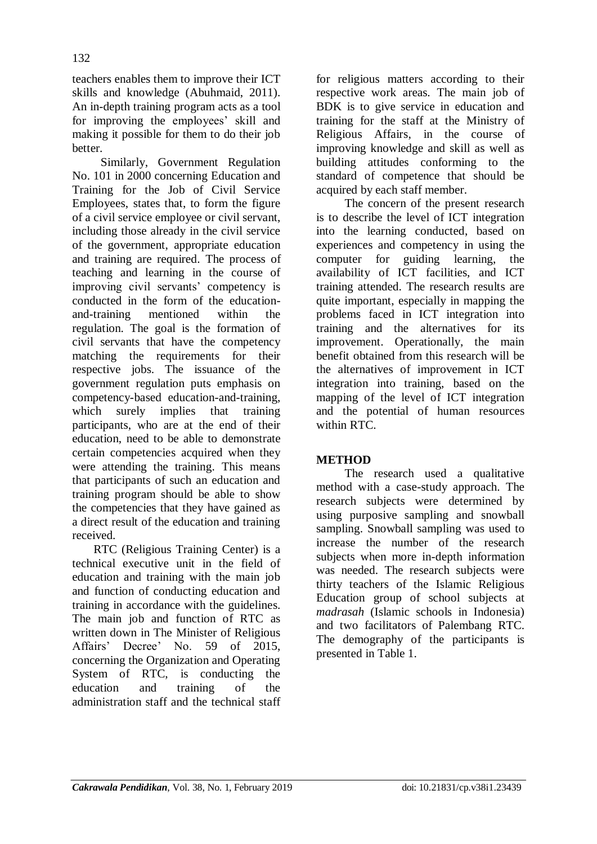teachers enables them to improve their ICT skills and knowledge (Abuhmaid, 2011). An in-depth training program acts as a tool for improving the employees' skill and making it possible for them to do their job better.

Similarly, Government Regulation No. 101 in 2000 concerning Education and Training for the Job of Civil Service Employees, states that, to form the figure of a civil service employee or civil servant, including those already in the civil service of the government, appropriate education and training are required. The process of teaching and learning in the course of improving civil servants' competency is conducted in the form of the educationand-training mentioned within the regulation. The goal is the formation of civil servants that have the competency matching the requirements for their respective jobs. The issuance of the government regulation puts emphasis on competency-based education-and-training, which surely implies that training participants, who are at the end of their education, need to be able to demonstrate certain competencies acquired when they were attending the training. This means that participants of such an education and training program should be able to show the competencies that they have gained as a direct result of the education and training received.

RTC (Religious Training Center) is a technical executive unit in the field of education and training with the main job and function of conducting education and training in accordance with the guidelines. The main job and function of RTC as written down in The Minister of Religious Affairs' Decree' No. 59 of 2015, concerning the Organization and Operating System of RTC, is conducting the education and training of the administration staff and the technical staff for religious matters according to their respective work areas. The main job of BDK is to give service in education and training for the staff at the Ministry of Religious Affairs, in the course of improving knowledge and skill as well as building attitudes conforming to the standard of competence that should be acquired by each staff member.

The concern of the present research is to describe the level of ICT integration into the learning conducted, based on experiences and competency in using the computer for guiding learning, the availability of ICT facilities, and ICT training attended. The research results are quite important, especially in mapping the problems faced in ICT integration into training and the alternatives for its improvement. Operationally, the main benefit obtained from this research will be the alternatives of improvement in ICT integration into training, based on the mapping of the level of ICT integration and the potential of human resources within RTC.

# **METHOD**

The research used a qualitative method with a case-study approach. The research subjects were determined by using purposive sampling and snowball sampling. Snowball sampling was used to increase the number of the research subjects when more in-depth information was needed. The research subjects were thirty teachers of the Islamic Religious Education group of school subjects at *madrasah* (Islamic schools in Indonesia) and two facilitators of Palembang RTC. The demography of the participants is presented in Table 1.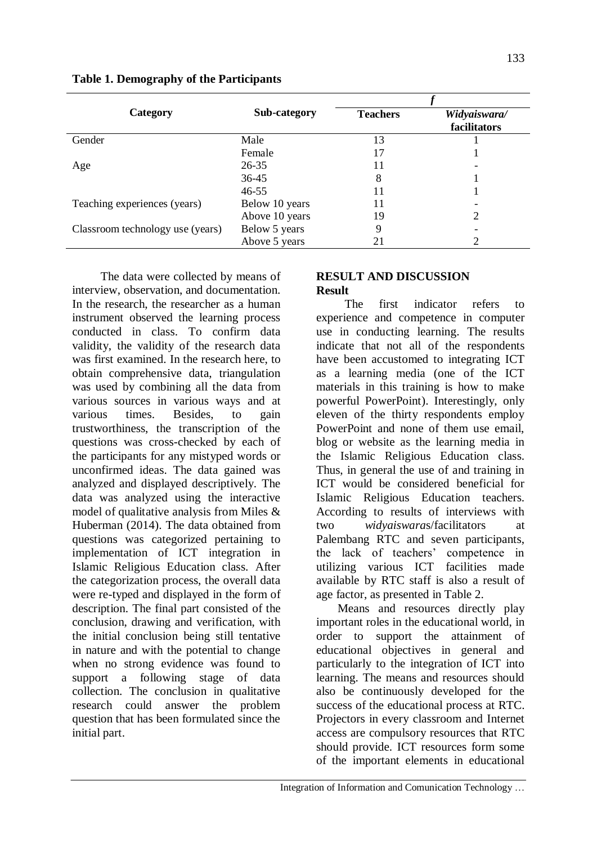| Category                         | Sub-category   | <b>Teachers</b> | Widyaiswara/<br>facilitators |  |
|----------------------------------|----------------|-----------------|------------------------------|--|
| Gender                           | Male           | 13              |                              |  |
|                                  | Female         | 17              |                              |  |
| Age                              | $26 - 35$      | 11              |                              |  |
|                                  | 36-45          | 8               |                              |  |
|                                  | $46 - 55$      | 11              |                              |  |
| Teaching experiences (years)     | Below 10 years | 11              |                              |  |
|                                  | Above 10 years | 19              | າ                            |  |
| Classroom technology use (years) | Below 5 years  | 9               |                              |  |
|                                  | Above 5 years  | 21              |                              |  |

The data were collected by means of interview, observation, and documentation. In the research, the researcher as a human instrument observed the learning process conducted in class. To confirm data validity, the validity of the research data was first examined. In the research here, to obtain comprehensive data, triangulation was used by combining all the data from various sources in various ways and at various times. Besides, to gain trustworthiness, the transcription of the questions was cross-checked by each of the participants for any mistyped words or unconfirmed ideas. The data gained was analyzed and displayed descriptively. The data was analyzed using the interactive model of qualitative analysis from Miles & Huberman (2014). The data obtained from questions was categorized pertaining to implementation of ICT integration in Islamic Religious Education class. After the categorization process, the overall data were re-typed and displayed in the form of description. The final part consisted of the conclusion, drawing and verification, with the initial conclusion being still tentative in nature and with the potential to change when no strong evidence was found to support a following stage of data collection. The conclusion in qualitative research could answer the problem question that has been formulated since the initial part.

### **RESULT AND DISCUSSION Result**

The first indicator refers to experience and competence in computer use in conducting learning. The results indicate that not all of the respondents have been accustomed to integrating ICT as a learning media (one of the ICT materials in this training is how to make powerful PowerPoint). Interestingly, only eleven of the thirty respondents employ PowerPoint and none of them use email, blog or website as the learning media in the Islamic Religious Education class. Thus, in general the use of and training in ICT would be considered beneficial for Islamic Religious Education teachers. According to results of interviews with two *widyaiswara*s/facilitators at Palembang RTC and seven participants, the lack of teachers" competence in utilizing various ICT facilities made available by RTC staff is also a result of age factor, as presented in Table 2.

Means and resources directly play important roles in the educational world, in order to support the attainment of educational objectives in general and particularly to the integration of ICT into learning. The means and resources should also be continuously developed for the success of the educational process at RTC. Projectors in every classroom and Internet access are compulsory resources that RTC should provide. ICT resources form some of the important elements in educational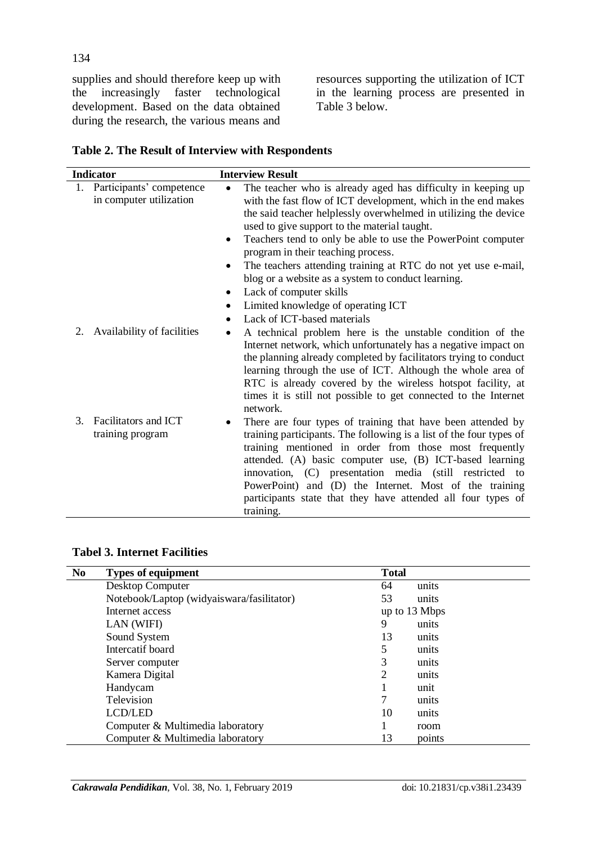supplies and should therefore keep up with<br>the increasingly faster technological the increasingly faster technological development. Based on the data obtained during the research, the various means and resources supporting the utilization of ICT in the learning process are presented in Table 3 below.

|  |  |  |  |  |  | Table 2. The Result of Interview with Respondents |
|--|--|--|--|--|--|---------------------------------------------------|
|--|--|--|--|--|--|---------------------------------------------------|

|    | <b>Indicator</b>           |           | <b>Interview Result</b>                                             |
|----|----------------------------|-----------|---------------------------------------------------------------------|
| 1. | Participants' competence   | $\bullet$ | The teacher who is already aged has difficulty in keeping up        |
|    | in computer utilization    |           | with the fast flow of ICT development, which in the end makes       |
|    |                            |           | the said teacher helplessly overwhelmed in utilizing the device     |
|    |                            |           | used to give support to the material taught.                        |
|    |                            | ٠         | Teachers tend to only be able to use the PowerPoint computer        |
|    |                            |           | program in their teaching process.                                  |
|    |                            |           | The teachers attending training at RTC do not yet use e-mail,       |
|    |                            |           | blog or a website as a system to conduct learning.                  |
|    |                            | ٠         | Lack of computer skills                                             |
|    |                            | $\bullet$ | Limited knowledge of operating ICT                                  |
|    |                            | $\bullet$ | Lack of ICT-based materials                                         |
| 2. | Availability of facilities | ٠         | A technical problem here is the unstable condition of the           |
|    |                            |           | Internet network, which unfortunately has a negative impact on      |
|    |                            |           | the planning already completed by facilitators trying to conduct    |
|    |                            |           | learning through the use of ICT. Although the whole area of         |
|    |                            |           | RTC is already covered by the wireless hotspot facility, at         |
|    |                            |           | times it is still not possible to get connected to the Internet     |
|    |                            |           | network.                                                            |
| 3. | Facilitators and ICT       | ٠         | There are four types of training that have been attended by         |
|    | training program           |           | training participants. The following is a list of the four types of |
|    |                            |           | training mentioned in order from those most frequently              |
|    |                            |           | attended. (A) basic computer use, (B) ICT-based learning            |
|    |                            |           | innovation, (C) presentation media (still restricted to             |
|    |                            |           | PowerPoint) and (D) the Internet. Most of the training              |
|    |                            |           | participants state that they have attended all four types of        |
|    |                            |           | training.                                                           |

#### **Tabel 3. Internet Facilities**

| <b>No</b> | <b>Types of equipment</b>                 | <b>Total</b>  |
|-----------|-------------------------------------------|---------------|
|           | Desktop Computer                          | 64<br>units   |
|           | Notebook/Laptop (widyaiswara/fasilitator) | 53<br>units   |
|           | Internet access                           | up to 13 Mbps |
|           | LAN (WIFI)                                | 9<br>units    |
|           | Sound System                              | 13<br>units   |
|           | Intercatif board                          | 5<br>units    |
|           | Server computer                           | 3<br>units    |
|           | Kamera Digital                            | 2<br>units    |
|           | Handycam                                  | unit          |
|           | Television                                | units         |
|           | <b>LCD/LED</b>                            | 10<br>units   |
|           | Computer & Multimedia laboratory          | room          |
|           | Computer & Multimedia laboratory          | 13<br>points  |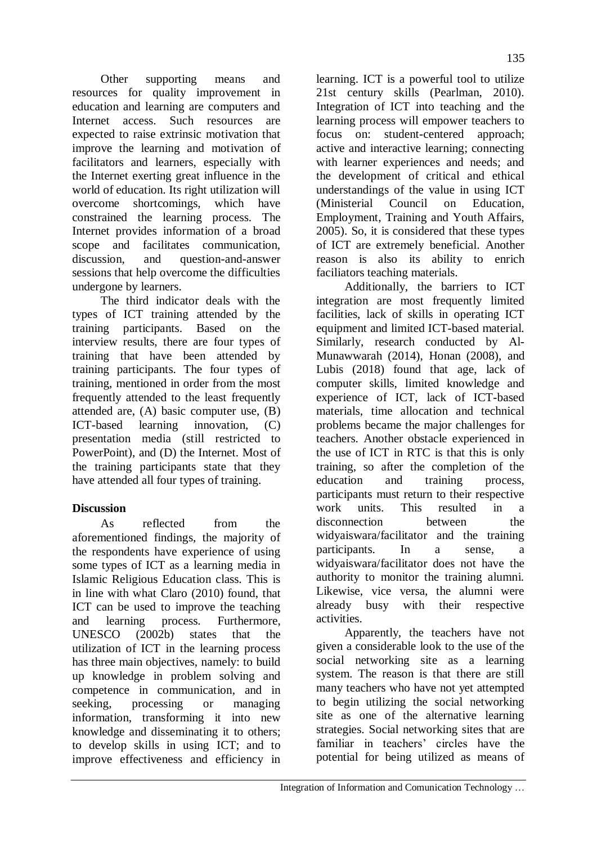Other supporting means and resources for quality improvement in education and learning are computers and Internet access. Such resources are expected to raise extrinsic motivation that improve the learning and motivation of facilitators and learners, especially with the Internet exerting great influence in the world of education. Its right utilization will overcome shortcomings, which have constrained the learning process. The Internet provides information of a broad scope and facilitates communication, discussion, and question-and-answer sessions that help overcome the difficulties undergone by learners.

The third indicator deals with the types of ICT training attended by the training participants. Based on the interview results, there are four types of training that have been attended by training participants. The four types of training, mentioned in order from the most frequently attended to the least frequently attended are, (A) basic computer use, (B) ICT-based learning innovation, (C) presentation media (still restricted to PowerPoint), and (D) the Internet. Most of the training participants state that they have attended all four types of training.

# **Discussion**

As reflected from the aforementioned findings, the majority of the respondents have experience of using some types of ICT as a learning media in Islamic Religious Education class. This is in line with what Claro (2010) found, that ICT can be used to improve the teaching and learning process. Furthermore, UNESCO (2002b) states that the utilization of ICT in the learning process has three main objectives, namely: to build up knowledge in problem solving and competence in communication, and in seeking, processing or managing information, transforming it into new knowledge and disseminating it to others; to develop skills in using ICT; and to improve effectiveness and efficiency in learning. ICT is a powerful tool to utilize 21st century skills (Pearlman, 2010). Integration of ICT into teaching and the learning process will empower teachers to focus on: student-centered approach; active and interactive learning; connecting with learner experiences and needs; and the development of critical and ethical understandings of the value in using ICT (Ministerial Council on Education, Employment, Training and Youth Affairs, 2005). So, it is considered that these types of ICT are extremely beneficial. Another reason is also its ability to enrich faciliators teaching materials.

Additionally, the barriers to ICT integration are most frequently limited facilities, lack of skills in operating ICT equipment and limited ICT-based material. Similarly, research conducted by Al-Munawwarah (2014), Honan (2008), and Lubis (2018) found that age, lack of computer skills, limited knowledge and experience of ICT, lack of ICT-based materials, time allocation and technical problems became the major challenges for teachers. Another obstacle experienced in the use of ICT in RTC is that this is only training, so after the completion of the education and training process, participants must return to their respective work units. This resulted in a disconnection between the widyaiswara/facilitator and the training participants. In a sense, a widyaiswara/facilitator does not have the authority to monitor the training alumni. Likewise, vice versa, the alumni were already busy with their respective activities.

Apparently, the teachers have not given a considerable look to the use of the social networking site as a learning system. The reason is that there are still many teachers who have not yet attempted to begin utilizing the social networking site as one of the alternative learning strategies. Social networking sites that are familiar in teachers' circles have the potential for being utilized as means of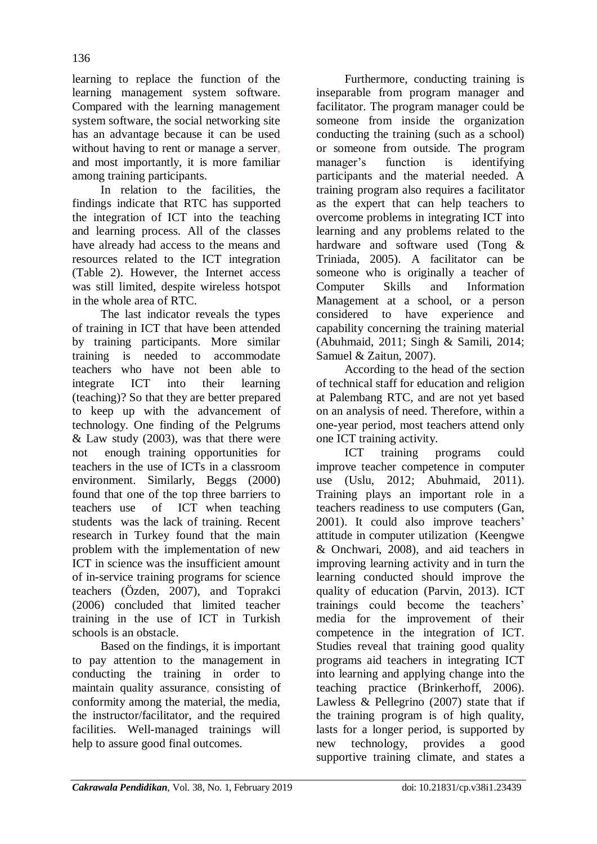learning to replace the function of the learning management system software. Compared with the learning management system software, the social networking site has an advantage because it can be used without having to rent or manage a server, and most importantly, it is more familiar among training participants.

In relation to the facilities, the findings indicate that RTC has supported the integration of ICT into the teaching and learning process. All of the classes have already had access to the means and resources related to the ICT integration (Table 2). However, the Internet access was still limited, despite wireless hotspot in the whole area of RTC.

The last indicator reveals the types of training in ICT that have been attended by training participants. More similar training is needed to accommodate teachers who have not been able to integrate ICT into their learning (teaching)? So that they are better prepared to keep up with the advancement of technology. One finding of the Pelgrums  $& Law$  study (2003), was that there were not enough training opportunities for teachers in the use of ICTs in a classroom environment. Similarly, Beggs (2000) found that one of the top three barriers to teachers use of ICT when teaching students was the lack of training. Recent research in Turkey found that the main problem with the implementation of new ICT in science was the insufficient amount of in-service training programs for science teachers (Özden, 2007), and Toprakci (2006) concluded that limited teacher training in the use of ICT in Turkish schools is an obstacle.

Based on the findings, it is important to pay attention to the management in conducting the training in order to maintain quality assurance, consisting of conformity among the material, the media, the instructor/facilitator, and the required facilities. Well-managed trainings will help to assure good final outcomes.

Furthermore, conducting training is inseparable from program manager and facilitator. The program manager could be someone from inside the organization conducting the training (such as a school) or someone from outside. The program manager's function is identifying participants and the material needed. A training program also requires a facilitator as the expert that can help teachers to overcome problems in integrating ICT into learning and any problems related to the hardware and software used (Tong & Triniada, 2005). A facilitator can be someone who is originally a teacher of Computer Skills and Information Management at a school, or a person considered to have experience and capability concerning the training material (Abuhmaid, 2011; Singh & Samili, 2014; Samuel & Zaitun, 2007).

According to the head of the section of technical staff for education and religion at Palembang RTC, and are not yet based on an analysis of need. Therefore, within a one-year period, most teachers attend only one ICT training activity.

ICT training programs could improve teacher competence in computer use (Uslu, 2012; Abuhmaid, 2011). Training plays an important role in a teachers readiness to use computers (Gan, 2001). It could also improve teachers' attitude in computer utilization (Keengwe & Onchwari, 2008), and aid teachers in improving learning activity and in turn the learning conducted should improve the quality of education (Parvin, 2013). ICT trainings could become the teachers" media for the improvement of their competence in the integration of ICT. Studies reveal that training good quality programs aid teachers in integrating ICT into learning and applying change into the teaching practice (Brinkerhoff, 2006). Lawless & Pellegrino (2007) state that if the training program is of high quality, lasts for a longer period, is supported by new technology, provides a good supportive training climate, and states a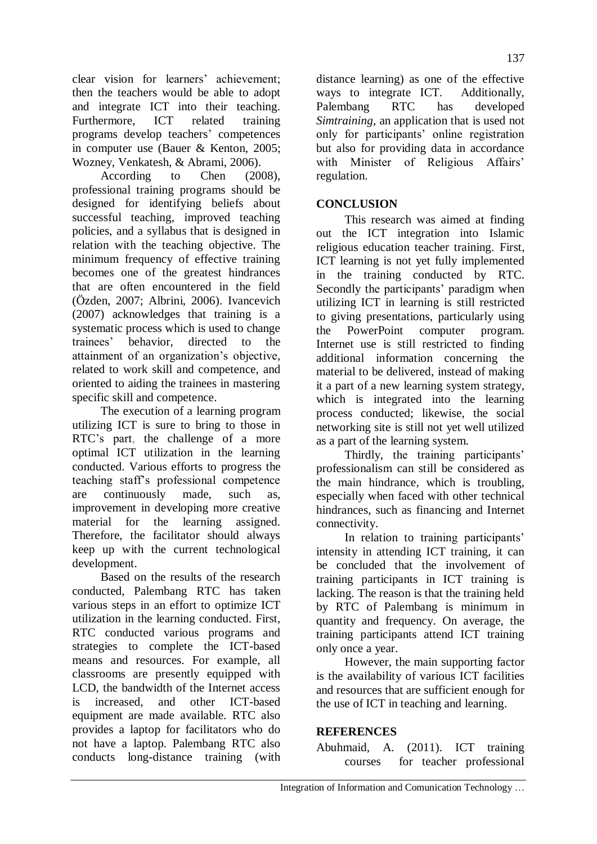clear vision for learners' achievement; then the teachers would be able to adopt and integrate ICT into their teaching. Furthermore, ICT related training programs develop teachers" competences in computer use (Bauer & Kenton, 2005; Wozney, Venkatesh, & Abrami, 2006).

According to Chen (2008), professional training programs should be designed for identifying beliefs about successful teaching, improved teaching policies, and a syllabus that is designed in relation with the teaching objective. The minimum frequency of effective training becomes one of the greatest hindrances that are often encountered in the field (Özden, 2007; Albrini, 2006). Ivancevich (2007) acknowledges that training is a systematic process which is used to change trainees" behavior, directed to the attainment of an organization"s objective, related to work skill and competence, and oriented to aiding the trainees in mastering specific skill and competence.

The execution of a learning program utilizing ICT is sure to bring to those in RTC"s part, the challenge of a more optimal ICT utilization in the learning conducted. Various efforts to progress the teaching staff"s professional competence are continuously made, such as, improvement in developing more creative material for the learning assigned. Therefore, the facilitator should always keep up with the current technological development.

Based on the results of the research conducted, Palembang RTC has taken various steps in an effort to optimize ICT utilization in the learning conducted. First, RTC conducted various programs and strategies to complete the ICT-based means and resources. For example, all classrooms are presently equipped with LCD, the bandwidth of the Internet access is increased, and other ICT-based equipment are made available. RTC also provides a laptop for facilitators who do not have a laptop. Palembang RTC also conducts long-distance training (with

distance learning) as one of the effective ways to integrate ICT. Additionally, Palembang RTC has developed *Simtraining*, an application that is used not only for participants" online registration but also for providing data in accordance with Minister of Religious Affairs' regulation.

# **CONCLUSION**

This research was aimed at finding out the ICT integration into Islamic religious education teacher training. First, ICT learning is not yet fully implemented in the training conducted by RTC. Secondly the participants' paradigm when utilizing ICT in learning is still restricted to giving presentations, particularly using the PowerPoint computer program. Internet use is still restricted to finding additional information concerning the material to be delivered, instead of making it a part of a new learning system strategy, which is integrated into the learning process conducted; likewise, the social networking site is still not yet well utilized as a part of the learning system.

Thirdly, the training participants' professionalism can still be considered as the main hindrance, which is troubling, especially when faced with other technical hindrances, such as financing and Internet connectivity.

In relation to training participants' intensity in attending ICT training, it can be concluded that the involvement of training participants in ICT training is lacking. The reason is that the training held by RTC of Palembang is minimum in quantity and frequency. On average, the training participants attend ICT training only once a year.

However, the main supporting factor is the availability of various ICT facilities and resources that are sufficient enough for the use of ICT in teaching and learning.

### **REFERENCES**

Abuhmaid, A. (2011). ICT training courses for teacher professional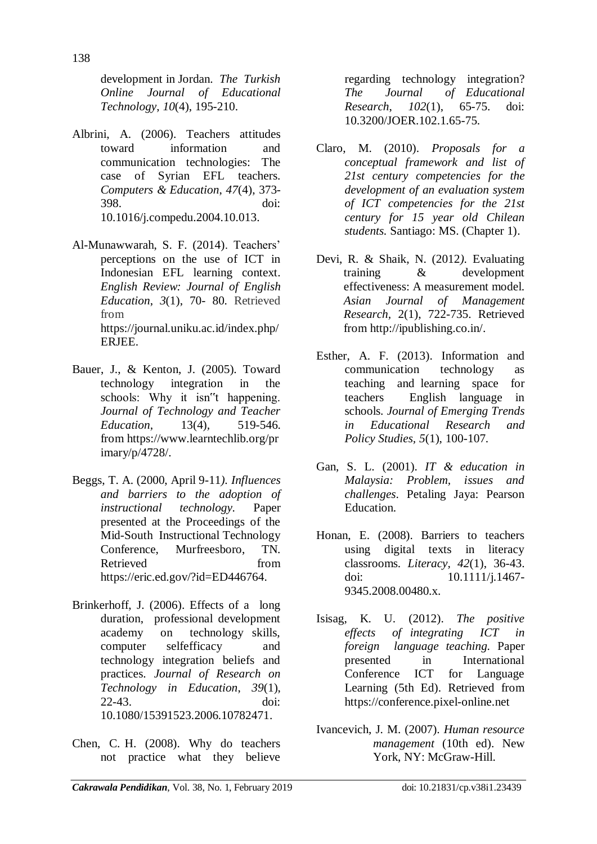development in Jordan. *The Turkish Online Journal of Educational Technology*, *10*(4), 195-210.

- Albrini, A. (2006). Teachers attitudes toward information and communication technologies: The case of Syrian EFL teachers. *Computers & Education*, *47*(4), 373- 398. doi: 10.1016/j.compedu.2004.10.013.
- Al-Munawwarah, S. F. (2014). Teachers" perceptions on the use of ICT in Indonesian EFL learning context. *English Review: Journal of English Education*, *3*(1), 70- 80. Retrieved from [https://journal.uniku.ac.id/index.php/](https://journal.uniku.ac.id/index.php/ERJEE/article/viewFile/116/78) [ERJEE.](https://journal.uniku.ac.id/index.php/ERJEE/article/viewFile/116/78)
- Bauer, J., & Kenton, J. (2005). Toward technology integration in the schools: Why it isn"t happening. *Journal of Technology and Teacher Education,* 13(4)*,* 519-546. from [https://www.learntechlib.org/pr](https://www.learntechlib.org/primary/p/4728/) [imary/p/4728/.](https://www.learntechlib.org/primary/p/4728/)
- Beggs, T. A. (2000, April 9-11*). Influences and barriers to the adoption of instructional technology.* Paper presented at the Proceedings of the Mid-South Instructional Technology Conference, Murfreesboro, TN. Retrieved from https://eric.ed.gov/?id=ED446764.
- Brinkerhoff, J. (2006). Effects of a long duration, professional development academy on technology skills, computer selfefficacy and technology integration beliefs and practices. *Journal of Research on Technology in Education*, *39*(1), 22-43. doi: [10.1080/15391523.2006.10782471.](http://dx.doi.org/10.1080/15391523.2006.10782471)
- Chen, C. H. (2008). Why do teachers not practice what they believe

regarding technology integration? *The Journal of Educational Research*, *102*(1), 65-75. doi: 10.3200/JOER.102.1.65-75.

- Claro, M. (2010). *Proposals for a conceptual framework and list of 21st century competencies for the development of an evaluation system of ICT competencies for the 21st century for 15 year old Chilean students.* Santiago: MS. (Chapter 1).
- Devi, R. & Shaik, N. (2012*).* Evaluating training & development effectiveness: A measurement model. *Asian Journal of Management Research,* 2(1), 722-735. Retrieved from http://ipublishing.co.in/.
- Esther, A. F. (2013). Information and communication technology as teaching and learning space for teachers English language in schools. *Journal of Emerging Trends in Educational Research and Policy Studies, 5*(1), 100-107.
- Gan, S. L. (2001). *IT & education in Malaysia: Problem, issues and challenges*. Petaling Jaya: Pearson Education.
- Honan, E. (2008). Barriers to teachers using digital texts in literacy classrooms. *Literacy, 42*(1), 36-43. doi: 10.1111/j.1467- 9345.2008.00480.x.
- Isisag, K. U. (2012). *The positive effects of integrating ICT in foreign language teaching.* Paper presented in International Conference ICT for Language Learning (5th Ed). Retrieved from https://conference.pixel-online.net
- Ivancevich, J. M. (2007). *Human resource management* (10th ed). New York, NY: McGraw-Hill.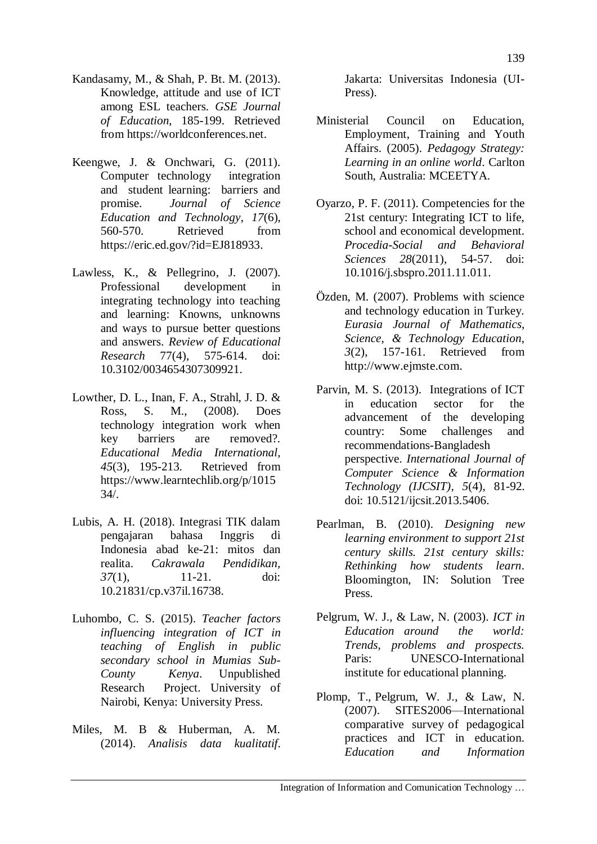- Kandasamy, M., & Shah, P. Bt. M. (2013). Knowledge, attitude and use of ICT among ESL teachers. *GSE Journal of Education*, 185-199. Retrieved from https://worldconferences.net.
- Keengwe, J. & Onchwari, G. (2011). Computer technology integration and student learning: barriers and promise. *Journal of Science Education and Technology*, *17*(6), 560-570. Retrieved from [https://eric.ed.gov/?id=EJ818933.](https://eric.ed.gov/?id=EJ818933)
- Lawless, K., & Pellegrino, J. (2007). Professional development in integrating technology into teaching and learning: Knowns, unknowns and ways to pursue better questions and answers. *Review of Educational Research* 77(4), 575-614. doi: 10.3102/0034654307309921.
- Lowther, D. L., Inan, F. A., Strahl, J. D. & Ross, S. M., (2008). Does technology integration work when key barriers are removed?. *Educational Media International, 45*(3), 195-213. Retrieved fro[m](https://www.learntechlib.org/p/101534/) [https://www.learntechlib.org/p/1015](https://www.learntechlib.org/p/101534/) [34/.](https://www.learntechlib.org/p/101534/)
- Lubis, A. H. (2018). Integrasi TIK dalam pengajaran bahasa Inggris di Indonesia abad ke-21: mitos dan realita. *Cakrawala Pendidikan, 37*(1), 11-21. doi: 10.21831/cp.v37il.16738.
- Luhombo, C. S. (2015). *Teacher factors influencing integration of ICT in teaching of English in public secondary school in Mumias Sub-County Kenya*. Unpublished Research Project. University of Nairobi, Kenya: University Press.
- Miles, M. B & Huberman, A. M. (2014). *Analisis data kualitatif*.

Jakarta: Universitas Indonesia (UI-Press).

- Ministerial Council on Education, Employment, Training and Youth Affairs. (2005). *Pedagogy Strategy: Learning in an online world*. Carlton South, Australia: MCEETYA.
- Oyarzo, P. F. (2011). Competencies for the 21st century: Integrating ICT to life, school and economical development. *Procedia-Social and Behavioral Sciences 28*(2011)*,* 54-57. doi: 10.1016/j.sbspro.2011.11.011.
- Özden, M. (2007). Problems with science and technology education in Turkey. *Eurasia Journal of Mathematics, Science, & Technology Education*, *3*(2), 157-161. Retrieved from [http://www.ejmste.com.](http://www.ejmste.com/)
- Parvin, M. S. (2013). Integrations of ICT in education sector for the advancement of the developing country: Some challenges and recommendations-Bangladesh perspective. *International Journal of Computer Science & Information Technology (IJCSIT), 5*(4), 81-92. doi: 10.5121/ijcsit.2013.5406.
- Pearlman, B. (2010). *Designing new learning environment to support 21st century skills. 21st century skills: Rethinking how students learn*. Bloomington, IN: Solution Tree Press.
- Pelgrum, W. J., & Law, N. (2003). *ICT in Education around the world: Trends, problems and prospects.* Paris: UNESCO-International institute for educational planning.
- Plomp, T., Pelgrum, W. J., & Law, N. (2007). SITES2006—International comparative survey of pedagogical practices and ICT in education. *Education and Information*